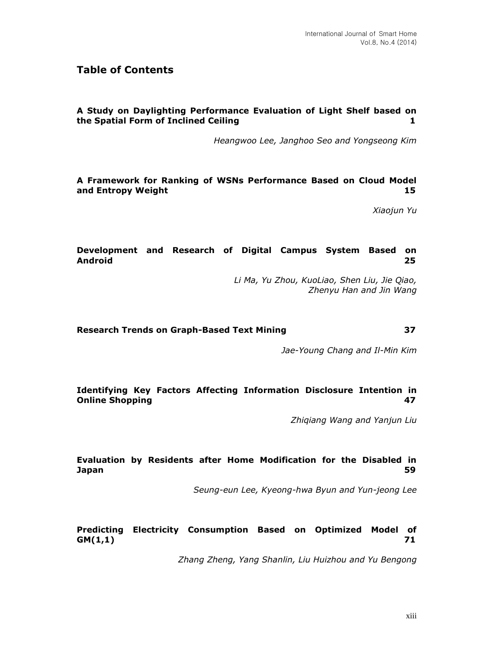# **Table of Contents**

### **A Study on Daylighting Performance Evaluation of Light Shelf based on the Spatial Form of Inclined Ceiling 1**

*Heangwoo Lee, Janghoo Seo and Yongseong Kim*

**A Framework for Ranking of WSNs Performance Based on Cloud Model and Entropy Weight 15**

*Xiaojun Yu*

# **Development and Research of Digital Campus System Based on Android 25**

*Li Ma, Yu Zhou, KuoLiao, Shen Liu, Jie Qiao, Zhenyu Han and Jin Wang*

#### **Research Trends on Graph-Based Text Mining 37**

*Jae-Young Chang and Il-Min Kim*

#### **Identifying Key Factors Affecting Information Disclosure Intention in Online Shopping 47**

*Zhiqiang Wang and Yanjun Liu*

#### **Evaluation by Residents after Home Modification for the Disabled in Japan 59**

*Seung-eun Lee, Kyeong-hwa Byun and Yun-jeong Lee*

# **Predicting Electricity Consumption Based on Optimized Model of GM(1,1) 71**

*Zhang Zheng, Yang Shanlin, Liu Huizhou and Yu Bengong*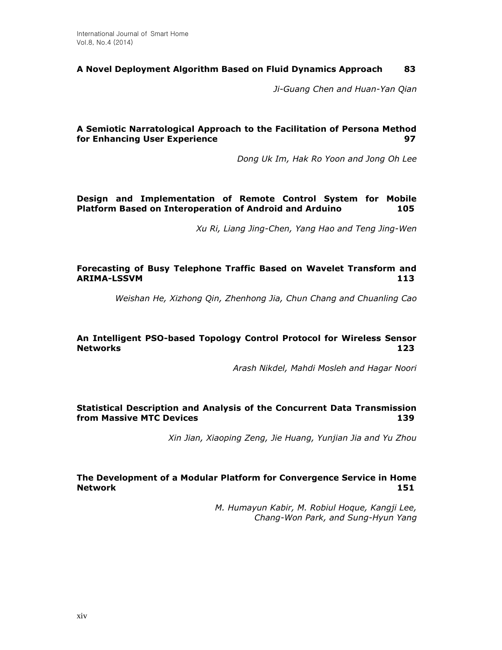# **A Novel Deployment Algorithm Based on Fluid Dynamics Approach 83**

*Ji-Guang Chen and Huan-Yan Qian*

# **A Semiotic Narratological Approach to the Facilitation of Persona Method for Enhancing User Experience 97**

*Dong Uk Im, Hak Ro Yoon and Jong Oh Lee*

# **Design and Implementation of Remote Control System for Mobile Platform Based on Interoperation of Android and Arduino 105**

*Xu Ri, Liang Jing-Chen, Yang Hao and Teng Jing-Wen*

# **Forecasting of Busy Telephone Traffic Based on Wavelet Transform and ARIMA-LSSVM 113**

*Weishan He, Xizhong Qin, Zhenhong Jia, Chun Chang and Chuanling Cao*

#### **An Intelligent PSO-based Topology Control Protocol for Wireless Sensor Networks 123**

*Arash Nikdel, Mahdi Mosleh and Hagar Noori*

### **Statistical Description and Analysis of the Concurrent Data Transmission from Massive MTC Devices** 139

*Xin Jian, Xiaoping Zeng, Jie Huang, Yunjian Jia and Yu Zhou*

# **The Development of a Modular Platform for Convergence Service in Home Network 151**

*M. Humayun Kabir, M. Robiul Hoque, Kangji Lee, Chang-Won Park, and Sung-Hyun Yang*